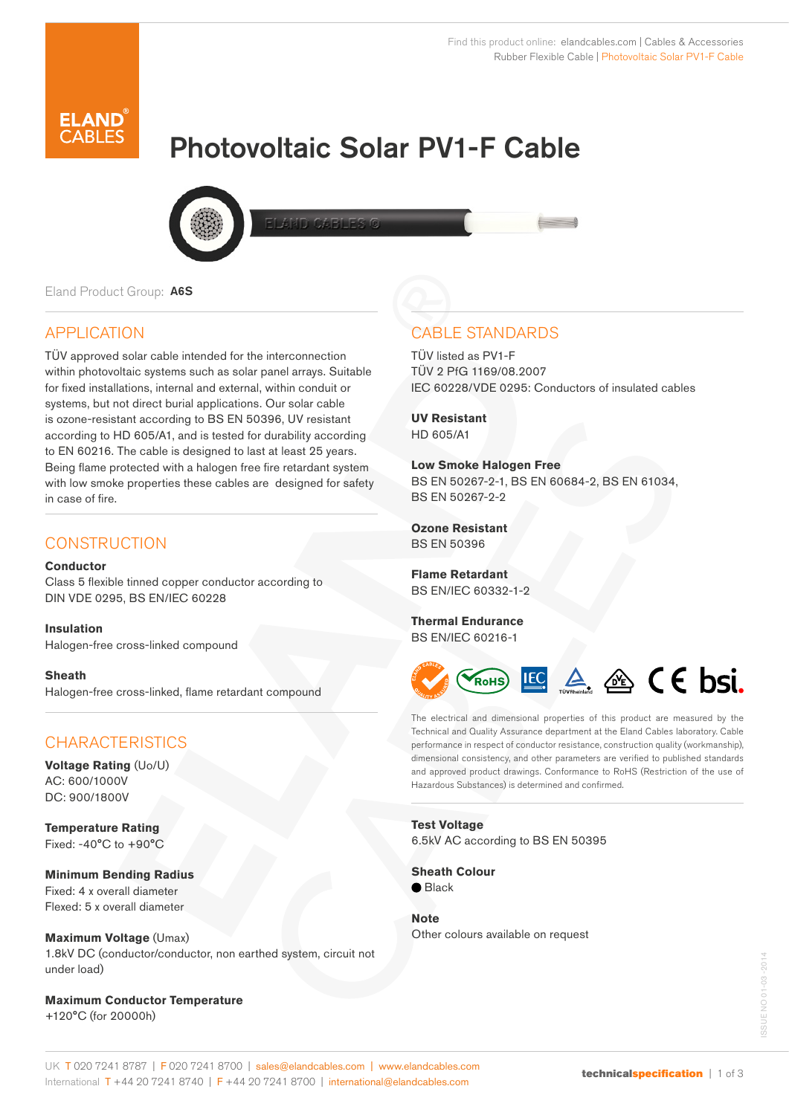

# Photovoltaic Solar PV1-F Cable



Eland Product Group: A6S

### APPLICATION

TÜV approved solar cable intended for the interconnection within photovoltaic systems such as solar panel arrays. Suitable for fixed installations, internal and external, within conduit or systems, but not direct burial applications. Our solar cable is ozone-resistant according to BS EN 50396, UV resistant according to HD 605/A1, and is tested for durability according to EN 60216. The cable is designed to last at least 25 years. Being flame protected with a halogen free fire retardant system with low smoke properties these cables are designed for safety in case of fire.

#### **CONSTRUCTION**

#### **Conductor**

Class 5 flexible tinned copper conductor according to DIN VDE 0295, BS EN/IEC 60228

**Insulation** Halogen-free cross-linked compound

**Sheath** Halogen-free cross-linked, flame retardant compound

#### **CHARACTERISTICS**

**Voltage Rating** (Uo/U) AC: 600/1000V DC: 900/1800V

**Temperature Rating** Fixed: -40°C to +90°C

**Minimum Bending Radius** Fixed: 4 x overall diameter Flexed: 5 x overall diameter

**Maximum Voltage** (Umax) 1.8kV DC (conductor/conductor, non earthed system, circuit not under load)

**Maximum Conductor Temperature** +120°C (for 20000h)

### CABLE STANDARDS

TÜV listed as PV1-F TÜV 2 PfG 1169/08.2007 IEC 60228/VDE 0295: Conductors of insulated cables

**UV Resistant** HD 605/A1

**Low Smoke Halogen Free** BS EN 50267-2-1, BS EN 60684-2, BS EN 61034,

**Ozone Resistant**

BS EN 50267-2-2

BS EN 50396

**Flame Retardant** BS EN/IEC 60332-1-2

**Thermal Endurance** BS EN/IEC 60216-1



The electrical and dimensional properties of this product are measured by the Technical and Quality Assurance department at the Eland Cables laboratory. Cable performance in respect of conductor resistance, construction quality (workmanship), dimensional consistency, and other parameters are verified to published standards and approved product drawings. Conformance to RoHS (Restriction of the use of Hazardous Substances) is determined and confirmed.

**Test Voltage** 6.5kV AC according to BS EN 50395

**Sheath Colour**

 $\bullet$  Black

**Note** Other colours available on request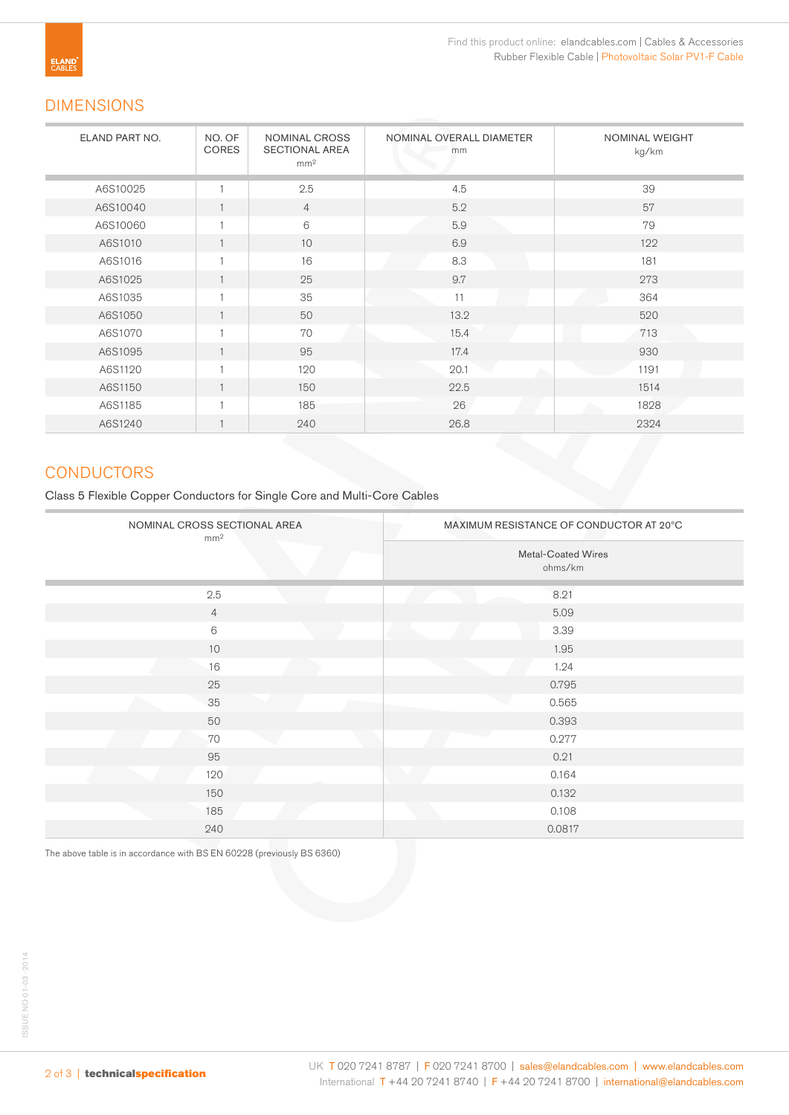### DIMENSIONS

| ELAND PART NO. | NO. OF<br><b>CORES</b> | NOMINAL CROSS<br><b>SECTIONAL AREA</b><br>mm <sup>2</sup> | NOMINAL OVERALL DIAMETER<br>mm | <b>NOMINAL WEIGHT</b><br>kg/km |  |
|----------------|------------------------|-----------------------------------------------------------|--------------------------------|--------------------------------|--|
| A6S10025       |                        | 2.5                                                       | 4.5                            | 39                             |  |
| A6S10040       | $\mathbf{1}$           | $\overline{4}$                                            | 5.2                            | 57                             |  |
| A6S10060       | 1                      | 6                                                         | 5.9                            | 79                             |  |
| A6S1010        | $\mathbf{1}$           | 10                                                        | 6.9                            | 122                            |  |
| A6S1016        |                        | 16                                                        | 8.3                            | 181                            |  |
| A6S1025        |                        | 25                                                        | 9.7                            | 273                            |  |
| A6S1035        | $\mathbf{1}$           | 35                                                        | 11                             | 364                            |  |
| A6S1050        | $\mathbf{1}$           | 50                                                        | 13.2                           | 520                            |  |
| A6S1070        | 1                      | 70                                                        | 15.4                           | 713                            |  |
| A6S1095        | 1                      | 95                                                        | 17.4                           | 930                            |  |
| A6S1120        |                        | 120                                                       | 20.1                           | 1191                           |  |
| A6S1150        | $\overline{1}$         | 150                                                       | 22.5                           | 1514                           |  |
| A6S1185        | $\overline{1}$         | 185                                                       | 26                             | 1828<br>A.                     |  |
| A6S1240        |                        | 240                                                       | 26.8                           | 2324                           |  |

# **CONDUCTORS**

Class 5 Flexible Copper Conductors for Single Core and Multi-Core Cables

| NOMINAL CROSS SECTIONAL AREA<br>mm <sup>2</sup> | MAXIMUM RESISTANCE OF CONDUCTOR AT 20°C |  |  |
|-------------------------------------------------|-----------------------------------------|--|--|
|                                                 | Metal-Coated Wires<br>ohms/km           |  |  |
| 2.5                                             | 8.21                                    |  |  |
| $\overline{4}$                                  | 5.09                                    |  |  |
| $\,6\,$                                         | 3.39                                    |  |  |
| 10                                              | 1.95                                    |  |  |
| 16                                              | 1.24                                    |  |  |
| 25                                              | 0.795                                   |  |  |
| 35                                              | 0.565                                   |  |  |
| 50                                              | 0.393                                   |  |  |
| 70                                              | 0.277                                   |  |  |
| 95                                              | 0.21                                    |  |  |
| 120                                             | 0.164                                   |  |  |
| 150                                             | 0.132                                   |  |  |
| 185                                             | 0.108                                   |  |  |
| 240                                             | 0.0817                                  |  |  |

The above table is in accordance with BS EN 60228 (previously BS 6360)